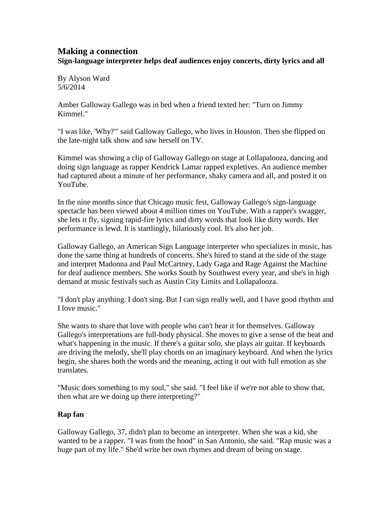## **Making a connection Sign-language interpreter helps deaf audiences enjoy concerts, dirty lyrics and all**

By Alyson Ward 5/6/2014

Amber Galloway Gallego was in bed when a friend texted her: "Turn on Jimmy Kimmel."

"I was like, 'Why?'" said Galloway Gallego, who lives in Houston. Then she flipped on the late-night talk show and saw herself on TV.

Kimmel was showing a clip of Galloway Gallego on stage at Lollapalooza, dancing and doing sign language as rapper Kendrick Lamar rapped expletives. An audience member had captured about a minute of her performance, shaky camera and all, and posted it on YouTube.

In the nine months since that Chicago music fest, Galloway Gallego's sign-language spectacle has been viewed about 4 million times on YouTube. With a rapper's swagger, she lets it fly, signing rapid-fire lyrics and dirty words that look like dirty words. Her performance is lewd. It is startlingly, hilariously cool. It's also her job.

Galloway Gallego, an American Sign Language interpreter who specializes in music, has done the same thing at hundreds of concerts. She's hired to stand at the side of the stage and interpret Madonna and Paul McCartney, Lady Gaga and Rage Against the Machine for deaf audience members. She works South by Southwest every year, and she's in high demand at music festivals such as Austin City Limits and Lollapalooza.

"I don't play anything. I don't sing. But I can sign really well, and I have good rhythm and I love music."

She wants to share that love with people who can't hear it for themselves. Galloway Gallego's interpretations are full-body physical. She moves to give a sense of the beat and what's happening in the music. If there's a guitar solo, she plays air guitar. If keyboards are driving the melody, she'll play chords on an imaginary keyboard. And when the lyrics begin, she shares both the words and the meaning, acting it out with full emotion as she translates.

"Music does something to my soul," she said. "I feel like if we're not able to show that, then what are we doing up there interpreting?"

## **Rap fan**

Galloway Gallego, 37, didn't plan to become an interpreter. When she was a kid, she wanted to be a rapper. "I was from the hood" in San Antonio, she said. "Rap music was a huge part of my life." She'd write her own rhymes and dream of being on stage.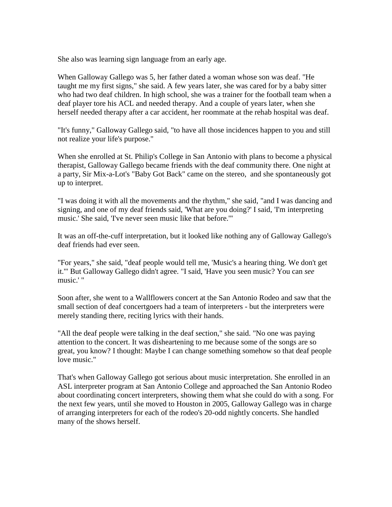She also was learning sign language from an early age.

When Galloway Gallego was 5, her father dated a woman whose son was deaf. "He taught me my first signs," she said. A few years later, she was cared for by a baby sitter who had two deaf children. In high school, she was a trainer for the football team when a deaf player tore his ACL and needed therapy. And a couple of years later, when she herself needed therapy after a car accident, her roommate at the rehab hospital was deaf.

"It's funny," Galloway Gallego said, "to have all those incidences happen to you and still not realize your life's purpose."

When she enrolled at St. Philip's College in San Antonio with plans to become a physical therapist, Galloway Gallego became friends with the deaf community there. One night at a party, Sir Mix-a-Lot's "Baby Got Back" came on the stereo, and she spontaneously got up to interpret.

"I was doing it with all the movements and the rhythm," she said, "and I was dancing and signing, and one of my deaf friends said, 'What are you doing?' I said, 'I'm interpreting music.' She said, 'I've never seen music like that before.'"

It was an off-the-cuff interpretation, but it looked like nothing any of Galloway Gallego's deaf friends had ever seen.

"For years," she said, "deaf people would tell me, 'Music's a hearing thing. We don't get it.'" But Galloway Gallego didn't agree. "I said, 'Have you seen music? You can *see* music.' "

Soon after, she went to a Wallflowers concert at the San Antonio Rodeo and saw that the small section of deaf concertgoers had a team of interpreters - but the interpreters were merely standing there, reciting lyrics with their hands.

"All the deaf people were talking in the deaf section," she said. "No one was paying attention to the concert. It was disheartening to me because some of the songs are so great, you know? I thought: Maybe I can change something somehow so that deaf people love music."

That's when Galloway Gallego got serious about music interpretation. She enrolled in an ASL interpreter program at San Antonio College and approached the San Antonio Rodeo about coordinating concert interpreters, showing them what she could do with a song. For the next few years, until she moved to Houston in 2005, Galloway Gallego was in charge of arranging interpreters for each of the rodeo's 20-odd nightly concerts. She handled many of the shows herself.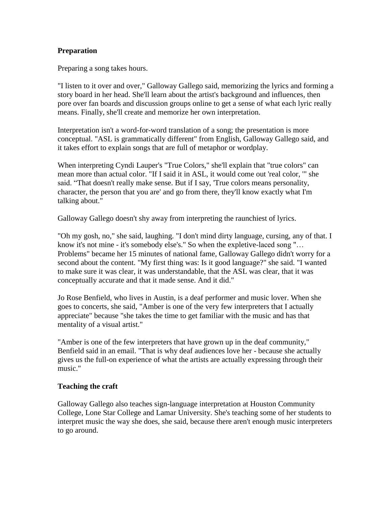## **Preparation**

Preparing a song takes hours.

"I listen to it over and over," Galloway Gallego said, memorizing the lyrics and forming a story board in her head. She'll learn about the artist's background and influences, then pore over fan boards and discussion groups online to get a sense of what each lyric really means. Finally, she'll create and memorize her own interpretation.

Interpretation isn't a word-for-word translation of a song; the presentation is more conceptual. "ASL is grammatically different" from English, Galloway Gallego said, and it takes effort to explain songs that are full of metaphor or wordplay.

When interpreting Cyndi Lauper's "True Colors," she'll explain that "true colors" can mean more than actual color. "If I said it in ASL, it would come out 'real color, '" she said. "That doesn't really make sense. But if I say, 'True colors means personality, character, the person that you are' and go from there, they'll know exactly what I'm talking about."

Galloway Gallego doesn't shy away from interpreting the raunchiest of lyrics.

"Oh my gosh, no," she said, laughing. "I don't mind dirty language, cursing, any of that. I know it's not mine - it's somebody else's." So when the expletive-laced song "… Problems" became her 15 minutes of national fame, Galloway Gallego didn't worry for a second about the content. "My first thing was: Is it good language?" she said. "I wanted to make sure it was clear, it was understandable, that the ASL was clear, that it was conceptually accurate and that it made sense. And it did."

Jo Rose Benfield, who lives in Austin, is a deaf performer and music lover. When she goes to concerts, she said, "Amber is one of the very few interpreters that I actually appreciate" because "she takes the time to get familiar with the music and has that mentality of a visual artist."

"Amber is one of the few interpreters that have grown up in the deaf community," Benfield said in an email. "That is why deaf audiences love her - because she actually gives us the full-on experience of what the artists are actually expressing through their music."

## **Teaching the craft**

Galloway Gallego also teaches sign-language interpretation at Houston Community College, Lone Star College and Lamar University. She's teaching some of her students to interpret music the way she does, she said, because there aren't enough music interpreters to go around.